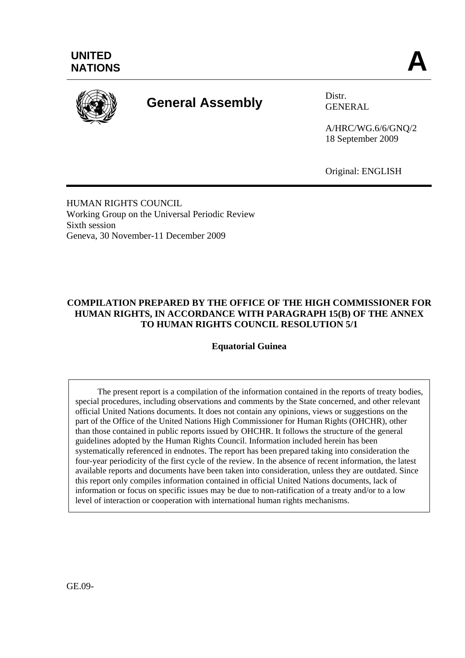

# **General Assembly** Distr.

GENERAL

A/HRC/WG.6/6/GNQ/2 18 September 2009

Original: ENGLISH

HUMAN RIGHTS COUNCIL Working Group on the Universal Periodic Review Sixth session Geneva, 30 November-11 December 2009

### **COMPILATION PREPARED BY THE OFFICE OF THE HIGH COMMISSIONER FOR HUMAN RIGHTS, IN ACCORDANCE WITH PARAGRAPH 15(B) OF THE ANNEX TO HUMAN RIGHTS COUNCIL RESOLUTION 5/1**

**Equatorial Guinea** 

 The present report is a compilation of the information contained in the reports of treaty bodies, special procedures, including observations and comments by the State concerned, and other relevant official United Nations documents. It does not contain any opinions, views or suggestions on the part of the Office of the United Nations High Commissioner for Human Rights (OHCHR), other than those contained in public reports issued by OHCHR. It follows the structure of the general guidelines adopted by the Human Rights Council. Information included herein has been systematically referenced in endnotes. The report has been prepared taking into consideration the four-year periodicity of the first cycle of the review. In the absence of recent information, the latest available reports and documents have been taken into consideration, unless they are outdated. Since this report only compiles information contained in official United Nations documents, lack of information or focus on specific issues may be due to non-ratification of a treaty and/or to a low level of interaction or cooperation with international human rights mechanisms.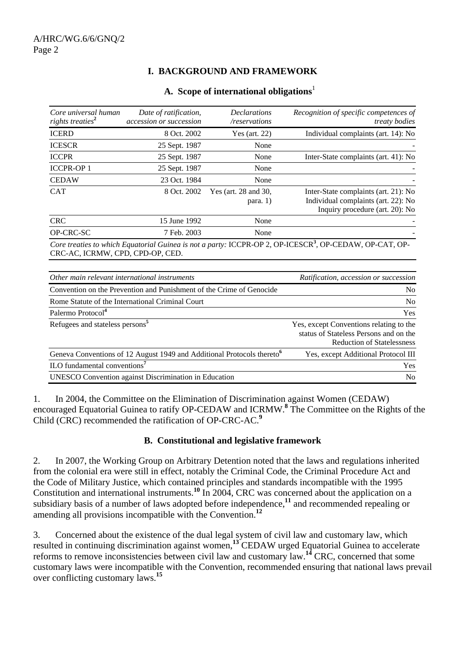# **I. BACKGROUND AND FRAMEWORK**

| Core universal human<br>rights treaties <sup>2</sup> | Date of ratification,<br>accession or succession                     | <i>Declarations</i><br>/reservations | Recognition of specific competences of<br><i>treaty bodies</i>                                                      |
|------------------------------------------------------|----------------------------------------------------------------------|--------------------------------------|---------------------------------------------------------------------------------------------------------------------|
| <b>ICERD</b>                                         | 8 Oct. 2002                                                          | Yes (art. 22)                        | Individual complaints (art. 14): No                                                                                 |
| <b>ICESCR</b>                                        | 25 Sept. 1987                                                        | None                                 |                                                                                                                     |
| <b>ICCPR</b>                                         | 25 Sept. 1987                                                        | None                                 | Inter-State complaints (art. 41): No                                                                                |
| <b>ICCPR-OP1</b>                                     | 25 Sept. 1987                                                        | None                                 |                                                                                                                     |
| <b>CEDAW</b>                                         | 23 Oct. 1984                                                         | None                                 |                                                                                                                     |
| <b>CAT</b>                                           | 8 Oct. 2002                                                          | Yes (art. 28 and 30,<br>para. 1)     | Inter-State complaints (art. 21): No<br>Individual complaints (art. 22): No<br>Inquiry procedure (art. 20): No      |
| <b>CRC</b>                                           | 15 June 1992                                                         | None                                 |                                                                                                                     |
| OP-CRC-SC                                            | 7 Feb. 2003                                                          | None                                 |                                                                                                                     |
| CRC-AC, ICRMW, CPD, CPD-OP, CED.                     |                                                                      |                                      | Core treaties to which Equatorial Guinea is not a party: ICCPR-OP 2, OP-ICESCR <sup>3</sup> , OP-CEDAW, OP-CAT, OP- |
|                                                      | Other main relevant international instruments                        |                                      | Ratification, accession or succession                                                                               |
|                                                      | Convention on the Prevention and Punishment of the Crime of Genocide |                                      | N <sub>0</sub>                                                                                                      |
|                                                      |                                                                      |                                      |                                                                                                                     |

#### **A. Scope of international obligations**<sup>1</sup>

Rome Statute of the International Criminal Court No Palermo Protocol<sup>4</sup> Yes Refugees and stateless persons**<sup>5</sup>** Yes, except Conventions relating to the status of Stateless Persons and on the Reduction of Statelessness Geneva Conventions of 12 August 1949 and Additional Protocols thereto**<sup>6</sup>** Yes, except Additional Protocol III ILO fundamental conventions**<sup>7</sup>** Yes UNESCO Convention against Discrimination in Education No

1. In 2004, the Committee on the Elimination of Discrimination against Women (CEDAW) encouraged Equatorial Guinea to ratify OP-CEDAW and ICRMW.<sup>8</sup> The Committee on the Rights of the Child (CRC) recommended the ratification of OP-CRC-AC.**<sup>9</sup>**

#### **B. Constitutional and legislative framework**

2. In 2007, the Working Group on Arbitrary Detention noted that the laws and regulations inherited from the colonial era were still in effect, notably the Criminal Code, the Criminal Procedure Act and the Code of Military Justice, which contained principles and standards incompatible with the 1995 Constitution and international instruments.**<sup>10</sup>** In 2004, CRC was concerned about the application on a subsidiary basis of a number of laws adopted before independence,**<sup>11</sup>** and recommended repealing or amending all provisions incompatible with the Convention.**<sup>12</sup>**

3. Concerned about the existence of the dual legal system of civil law and customary law, which resulted in continuing discrimination against women,**<sup>13</sup>** CEDAW urged Equatorial Guinea to accelerate reforms to remove inconsistencies between civil law and customary law.**<sup>14</sup>** CRC, concerned that some customary laws were incompatible with the Convention, recommended ensuring that national laws prevail over conflicting customary laws.**<sup>15</sup>**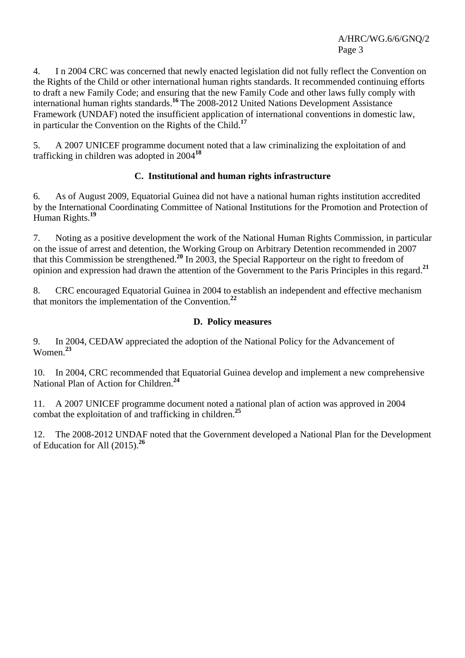4. I n 2004 CRC was concerned that newly enacted legislation did not fully reflect the Convention on the Rights of the Child or other international human rights standards. It recommended continuing efforts to draft a new Family Code; and ensuring that the new Family Code and other laws fully comply with international human rights standards.**<sup>16</sup>** The 2008-2012 United Nations Development Assistance Framework (UNDAF) noted the insufficient application of international conventions in domestic law, in particular the Convention on the Rights of the Child.**<sup>17</sup>**

5. A 2007 UNICEF programme document noted that a law criminalizing the exploitation of and trafficking in children was adopted in 2004**<sup>18</sup>**

# **C. Institutional and human rights infrastructure**

6. As of August 2009, Equatorial Guinea did not have a national human rights institution accredited by the International Coordinating Committee of National Institutions for the Promotion and Protection of Human Rights.**<sup>19</sup>**

7. Noting as a positive development the work of the National Human Rights Commission, in particular on the issue of arrest and detention, the Working Group on Arbitrary Detention recommended in 2007 that this Commission be strengthened.**<sup>20</sup>** In 2003, the Special Rapporteur on the right to freedom of opinion and expression had drawn the attention of the Government to the Paris Principles in this regard.**<sup>21</sup>**

8. CRC encouraged Equatorial Guinea in 2004 to establish an independent and effective mechanism that monitors the implementation of the Convention.**<sup>22</sup>**

#### **D. Policy measures**

9. In 2004, CEDAW appreciated the adoption of the National Policy for the Advancement of Women.**<sup>23</sup>**

10. In 2004, CRC recommended that Equatorial Guinea develop and implement a new comprehensive National Plan of Action for Children.**<sup>24</sup>**

11. A 2007 UNICEF programme document noted a national plan of action was approved in 2004 combat the exploitation of and trafficking in children.**<sup>25</sup>**

12. The 2008-2012 UNDAF noted that the Government developed a National Plan for the Development of Education for All (2015).**<sup>26</sup>**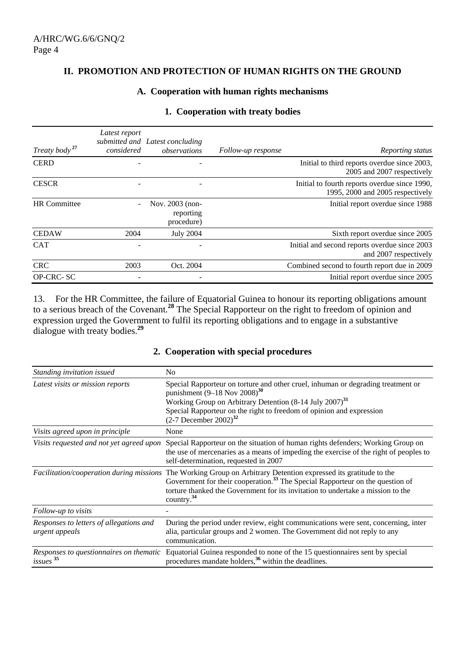#### **II. PROMOTION AND PROTECTION OF HUMAN RIGHTS ON THE GROUND**

#### **A. Cooperation with human rights mechanisms**

| 1. Cooperation with treaty bodies |  |  |  |  |  |
|-----------------------------------|--|--|--|--|--|
|-----------------------------------|--|--|--|--|--|

| Treaty body <sup>27</sup> | Latest report<br>considered | submitted and Latest concluding<br>observations | Follow-up response | Reporting status                                                                  |
|---------------------------|-----------------------------|-------------------------------------------------|--------------------|-----------------------------------------------------------------------------------|
| <b>CERD</b>               |                             |                                                 |                    | Initial to third reports overdue since 2003,<br>2005 and 2007 respectively        |
| <b>CESCR</b>              |                             |                                                 |                    | Initial to fourth reports overdue since 1990,<br>1995, 2000 and 2005 respectively |
| <b>HR</b> Committee       |                             | Nov. 2003 (non-<br>reporting<br>procedure)      |                    | Initial report overdue since 1988                                                 |
| <b>CEDAW</b>              | 2004                        | <b>July 2004</b>                                |                    | Sixth report overdue since 2005                                                   |
| <b>CAT</b>                |                             |                                                 |                    | Initial and second reports overdue since 2003<br>and 2007 respectively            |
| <b>CRC</b>                | 2003                        | Oct. 2004                                       |                    | Combined second to fourth report due in 2009                                      |
| OP-CRC-SC                 |                             |                                                 |                    | Initial report overdue since 2005                                                 |

13. For the HR Committee, the failure of Equatorial Guinea to honour its reporting obligations amount to a serious breach of the Covenant.**<sup>28</sup>** The Special Rapporteur on the right to freedom of opinion and expression urged the Government to fulfil its reporting obligations and to engage in a substantive dialogue with treaty bodies.**<sup>29</sup>**

| Standing invitation issued                                  | N <sub>0</sub>                                                                                                                                                                                                                                                                                                   |
|-------------------------------------------------------------|------------------------------------------------------------------------------------------------------------------------------------------------------------------------------------------------------------------------------------------------------------------------------------------------------------------|
| Latest visits or mission reports                            | Special Rapporteur on torture and other cruel, inhuman or degrading treatment or<br>punishment $(9-18$ Nov $2008)^{30}$<br>Working Group on Arbitrary Detention $(8-14 \text{ July } 2007)^{31}$<br>Special Rapporteur on the right to freedom of opinion and expression<br>$(2-7)$ December 2002) <sup>32</sup> |
| Visits agreed upon in principle                             | None                                                                                                                                                                                                                                                                                                             |
| Visits requested and not yet agreed upon                    | Special Rapporteur on the situation of human rights defenders; Working Group on<br>the use of mercenaries as a means of impeding the exercise of the right of peoples to<br>self-determination, requested in 2007                                                                                                |
| Facilitation/cooperation during missions                    | The Working Group on Arbitrary Detention expressed its gratitude to the<br>Government for their cooperation. <sup>33</sup> The Special Rapporteur on the question of<br>torture thanked the Government for its invitation to undertake a mission to the<br>country. $34$                                         |
| Follow-up to visits                                         |                                                                                                                                                                                                                                                                                                                  |
| Responses to letters of allegations and<br>urgent appeals   | During the period under review, eight communications were sent, concerning, inter<br>alia, particular groups and 2 women. The Government did not reply to any<br>communication.                                                                                                                                  |
| Responses to questionnaires on thematic<br>is <sup>35</sup> | Equatorial Guinea responded to none of the 15 questionnaires sent by special<br>procedures mandate holders, <sup>36</sup> within the deadlines.                                                                                                                                                                  |

## **2. Cooperation with special procedures**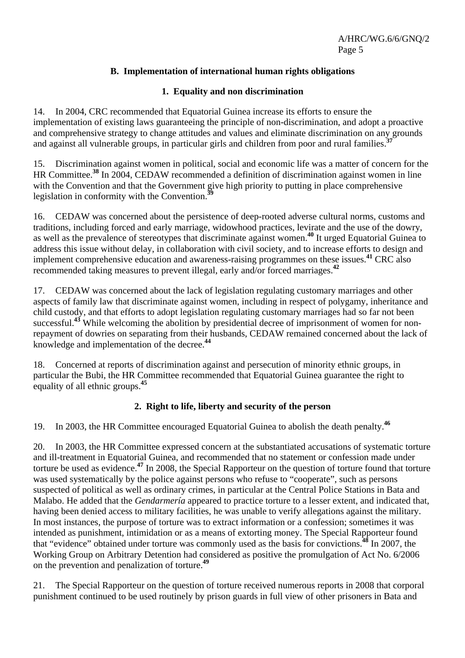# **B. Implementation of international human rights obligations**

#### **1. Equality and non discrimination**

14. In 2004, CRC recommended that Equatorial Guinea increase its efforts to ensure the implementation of existing laws guaranteeing the principle of non-discrimination, and adopt a proactive and comprehensive strategy to change attitudes and values and eliminate discrimination on any grounds and against all vulnerable groups, in particular girls and children from poor and rural families.**<sup>37</sup>**

15. Discrimination against women in political, social and economic life was a matter of concern for the HR Committee.**<sup>38</sup>** In 2004, CEDAW recommended a definition of discrimination against women in line with the Convention and that the Government give high priority to putting in place comprehensive legislation in conformity with the Convention.**<sup>39</sup>**

16. CEDAW was concerned about the persistence of deep-rooted adverse cultural norms, customs and traditions, including forced and early marriage, widowhood practices, levirate and the use of the dowry, as well as the prevalence of stereotypes that discriminate against women.**<sup>40</sup>** It urged Equatorial Guinea to address this issue without delay, in collaboration with civil society, and to increase efforts to design and implement comprehensive education and awareness-raising programmes on these issues.**<sup>41</sup>** CRC also recommended taking measures to prevent illegal, early and/or forced marriages.**<sup>42</sup>**

17. CEDAW was concerned about the lack of legislation regulating customary marriages and other aspects of family law that discriminate against women, including in respect of polygamy, inheritance and child custody, and that efforts to adopt legislation regulating customary marriages had so far not been successful.<sup>43</sup> While welcoming the abolition by presidential decree of imprisonment of women for nonrepayment of dowries on separating from their husbands, CEDAW remained concerned about the lack of knowledge and implementation of the decree.**<sup>44</sup>**

18. Concerned at reports of discrimination against and persecution of minority ethnic groups, in particular the Bubi, the HR Committee recommended that Equatorial Guinea guarantee the right to equality of all ethnic groups.**<sup>45</sup>**

# **2. Right to life, liberty and security of the person**

19. In 2003, the HR Committee encouraged Equatorial Guinea to abolish the death penalty.**<sup>46</sup>**

20. In 2003, the HR Committee expressed concern at the substantiated accusations of systematic torture and ill-treatment in Equatorial Guinea, and recommended that no statement or confession made under torture be used as evidence.**<sup>47</sup>** In 2008, the Special Rapporteur on the question of torture found that torture was used systematically by the police against persons who refuse to "cooperate", such as persons suspected of political as well as ordinary crimes, in particular at the Central Police Stations in Bata and Malabo. He added that the *Gendarmería* appeared to practice torture to a lesser extent, and indicated that, having been denied access to military facilities, he was unable to verify allegations against the military. In most instances, the purpose of torture was to extract information or a confession; sometimes it was intended as punishment, intimidation or as a means of extorting money. The Special Rapporteur found that "evidence" obtained under torture was commonly used as the basis for convictions.**<sup>48</sup>** In 2007, the Working Group on Arbitrary Detention had considered as positive the promulgation of Act No. 6/2006 on the prevention and penalization of torture.**<sup>49</sup>**

21. The Special Rapporteur on the question of torture received numerous reports in 2008 that corporal punishment continued to be used routinely by prison guards in full view of other prisoners in Bata and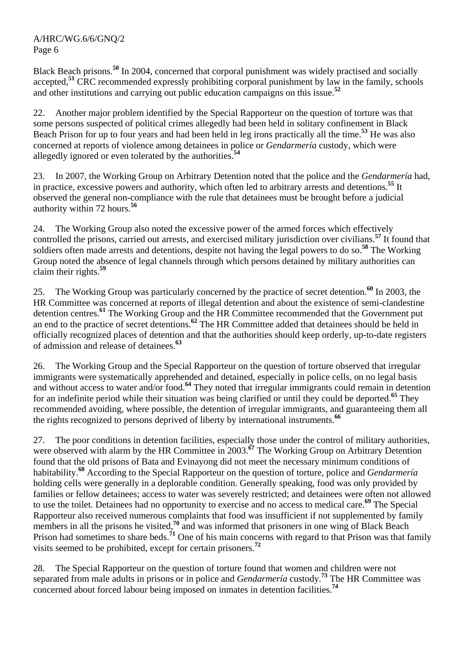Black Beach prisons.**<sup>50</sup>** In 2004, concerned that corporal punishment was widely practised and socially accepted,**<sup>51</sup>** CRC recommended expressly prohibiting corporal punishment by law in the family, schools and other institutions and carrying out public education campaigns on this issue.**<sup>52</sup>**

22. Another major problem identified by the Special Rapporteur on the question of torture was that some persons suspected of political crimes allegedly had been held in solitary confinement in Black Beach Prison for up to four years and had been held in leg irons practically all the time.**<sup>53</sup>** He was also concerned at reports of violence among detainees in police or *Gendarmería* custody, which were allegedly ignored or even tolerated by the authorities.**<sup>54</sup>**

23. In 2007, the Working Group on Arbitrary Detention noted that the police and the *Gendarmería* had, in practice, excessive powers and authority, which often led to arbitrary arrests and detentions.**<sup>55</sup>** It observed the general non-compliance with the rule that detainees must be brought before a judicial authority within 72 hours.**<sup>56</sup>**

24. The Working Group also noted the excessive power of the armed forces which effectively controlled the prisons, carried out arrests, and exercised military jurisdiction over civilians.**<sup>57</sup>** It found that soldiers often made arrests and detentions, despite not having the legal powers to do so.**<sup>58</sup>** The Working Group noted the absence of legal channels through which persons detained by military authorities can claim their rights.**<sup>59</sup>**

25. The Working Group was particularly concerned by the practice of secret detention.**<sup>60</sup>** In 2003, the HR Committee was concerned at reports of illegal detention and about the existence of semi-clandestine detention centres.**<sup>61</sup>** The Working Group and the HR Committee recommended that the Government put an end to the practice of secret detentions.**<sup>62</sup>** The HR Committee added that detainees should be held in officially recognized places of detention and that the authorities should keep orderly, up-to-date registers of admission and release of detainees.**<sup>63</sup>**

26. The Working Group and the Special Rapporteur on the question of torture observed that irregular immigrants were systematically apprehended and detained, especially in police cells, on no legal basis and without access to water and/or food.<sup>64</sup> They noted that irregular immigrants could remain in detention for an indefinite period while their situation was being clarified or until they could be deported.**<sup>65</sup>** They recommended avoiding, where possible, the detention of irregular immigrants, and guaranteeing them all the rights recognized to persons deprived of liberty by international instruments.**<sup>66</sup>**

27. The poor conditions in detention facilities, especially those under the control of military authorities, were observed with alarm by the HR Committee in 2003.<sup>67</sup> The Working Group on Arbitrary Detention found that the old prisons of Bata and Evinayong did not meet the necessary minimum conditions of habitability.**<sup>68</sup>** According to the Special Rapporteur on the question of torture, police and *Gendarmería* holding cells were generally in a deplorable condition. Generally speaking, food was only provided by families or fellow detainees; access to water was severely restricted; and detainees were often not allowed to use the toilet. Detainees had no opportunity to exercise and no access to medical care.**<sup>69</sup>** The Special Rapporteur also received numerous complaints that food was insufficient if not supplemented by family members in all the prisons he visited,<sup>70</sup> and was informed that prisoners in one wing of Black Beach Prison had sometimes to share beds.**<sup>71</sup>** One of his main concerns with regard to that Prison was that family visits seemed to be prohibited, except for certain prisoners.**<sup>72</sup>**

28. The Special Rapporteur on the question of torture found that women and children were not separated from male adults in prisons or in police and *Gendarmería* custody.**<sup>73</sup>** The HR Committee was concerned about forced labour being imposed on inmates in detention facilities.**<sup>74</sup>**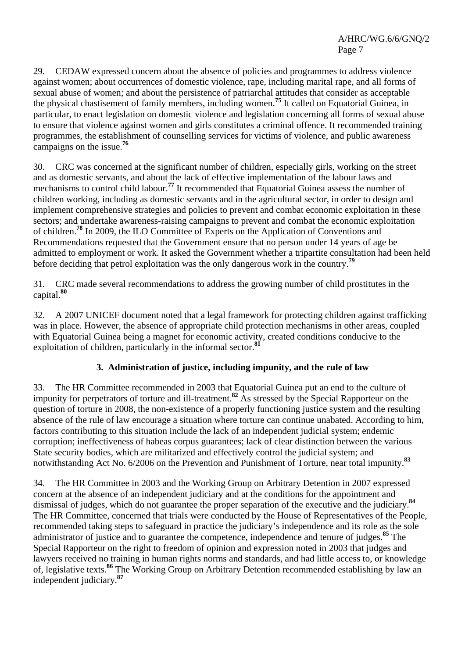29. CEDAW expressed concern about the absence of policies and programmes to address violence against women; about occurrences of domestic violence, rape, including marital rape, and all forms of sexual abuse of women; and about the persistence of patriarchal attitudes that consider as acceptable the physical chastisement of family members, including women.**<sup>75</sup>** It called on Equatorial Guinea, in particular, to enact legislation on domestic violence and legislation concerning all forms of sexual abuse to ensure that violence against women and girls constitutes a criminal offence. It recommended training programmes, the establishment of counselling services for victims of violence, and public awareness campaigns on the issue.**<sup>76</sup>**

30. CRC was concerned at the significant number of children, especially girls, working on the street and as domestic servants, and about the lack of effective implementation of the labour laws and mechanisms to control child labour.<sup>77</sup> It recommended that Equatorial Guinea assess the number of children working, including as domestic servants and in the agricultural sector, in order to design and implement comprehensive strategies and policies to prevent and combat economic exploitation in these sectors; and undertake awareness-raising campaigns to prevent and combat the economic exploitation of children.**<sup>78</sup>** In 2009, the ILO Committee of Experts on the Application of Conventions and Recommendations requested that the Government ensure that no person under 14 years of age be admitted to employment or work. It asked the Government whether a tripartite consultation had been held before deciding that petrol exploitation was the only dangerous work in the country.**<sup>79</sup>**

31. CRC made several recommendations to address the growing number of child prostitutes in the capital.**<sup>80</sup>**

32. A 2007 UNICEF document noted that a legal framework for protecting children against trafficking was in place. However, the absence of appropriate child protection mechanisms in other areas, coupled with Equatorial Guinea being a magnet for economic activity, created conditions conducive to the exploitation of children, particularly in the informal sector.**<sup>81</sup>**

# **3. Administration of justice, including impunity, and the rule of law**

33. The HR Committee recommended in 2003 that Equatorial Guinea put an end to the culture of impunity for perpetrators of torture and ill-treatment.**<sup>82</sup>** As stressed by the Special Rapporteur on the question of torture in 2008, the non-existence of a properly functioning justice system and the resulting absence of the rule of law encourage a situation where torture can continue unabated. According to him, factors contributing to this situation include the lack of an independent judicial system; endemic corruption; ineffectiveness of habeas corpus guarantees; lack of clear distinction between the various State security bodies, which are militarized and effectively control the judicial system; and notwithstanding Act No. 6/2006 on the Prevention and Punishment of Torture, near total impunity.**<sup>83</sup>**

34. The HR Committee in 2003 and the Working Group on Arbitrary Detention in 2007 expressed concern at the absence of an independent judiciary and at the conditions for the appointment and dismissal of judges, which do not guarantee the proper separation of the executive and the judiciary.**<sup>84</sup>** The HR Committee, concerned that trials were conducted by the House of Representatives of the People, recommended taking steps to safeguard in practice the judiciary's independence and its role as the sole administrator of justice and to guarantee the competence, independence and tenure of judges.**<sup>85</sup>** The Special Rapporteur on the right to freedom of opinion and expression noted in 2003 that judges and lawyers received no training in human rights norms and standards, and had little access to, or knowledge of, legislative texts.**<sup>86</sup>** The Working Group on Arbitrary Detention recommended establishing by law an independent judiciary.**<sup>87</sup>**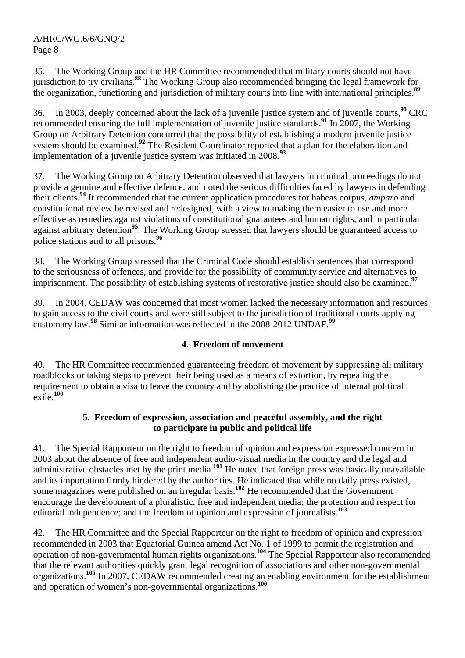35. The Working Group and the HR Committee recommended that military courts should not have jurisdiction to try civilians.**<sup>88</sup>** The Working Group also recommended bringing the legal framework for the organization, functioning and jurisdiction of military courts into line with international principles.**<sup>89</sup>**

36. In 2003, deeply concerned about the lack of a juvenile justice system and of juvenile courts,**<sup>90</sup>** CRC recommended ensuring the full implementation of juvenile justice standards.**<sup>91</sup>** In 2007, the Working Group on Arbitrary Detention concurred that the possibility of establishing a modern juvenile justice system should be examined.<sup>92</sup> The Resident Coordinator reported that a plan for the elaboration and implementation of a juvenile justice system was initiated in 2008.**<sup>93</sup>**

37. The Working Group on Arbitrary Detention observed that lawyers in criminal proceedings do not provide a genuine and effective defence, and noted the serious difficulties faced by lawyers in defending their clients.**<sup>94</sup>** It recommended that the current application procedures for habeas corpus, *amparo* and constitutional review be revised and redesigned, with a view to making them easier to use and more effective as remedies against violations of constitutional guarantees and human rights, and in particular against arbitrary detention**<sup>95</sup>**. The Working Group stressed that lawyers should be guaranteed access to police stations and to all prisons.**<sup>96</sup>**

The Working Group stressed that the Criminal Code should establish sentences that correspond to the seriousness of offences, and provide for the possibility of community service and alternatives to imprisonment. The possibility of establishing systems of restorative justice should also be examined.**<sup>97</sup>**

39. In 2004, CEDAW was concerned that most women lacked the necessary information and resources to gain access to the civil courts and were still subject to the jurisdiction of traditional courts applying customary law.**<sup>98</sup>** Similar information was reflected in the 2008-2012 UNDAF.**<sup>99</sup>**

# **4. Freedom of movement**

40. The HR Committee recommended guaranteeing freedom of movement by suppressing all military roadblocks or taking steps to prevent their being used as a means of extortion, by repealing the requirement to obtain a visa to leave the country and by abolishing the practice of internal political exile.**<sup>100</sup>**

#### **5. Freedom of expression, association and peaceful assembly, and the right to participate in public and political life**

41. The Special Rapporteur on the right to freedom of opinion and expression expressed concern in 2003 about the absence of free and independent audio-visual media in the country and the legal and administrative obstacles met by the print media.**<sup>101</sup>** He noted that foreign press was basically unavailable and its importation firmly hindered by the authorities. He indicated that while no daily press existed, some magazines were published on an irregular basis.**<sup>102</sup>** He recommended that the Government encourage the development of a pluralistic, free and independent media; the protection and respect for editorial independence; and the freedom of opinion and expression of journalists.**<sup>103</sup>**

42. The HR Committee and the Special Rapporteur on the right to freedom of opinion and expression recommended in 2003 that Equatorial Guinea amend Act No. 1 of 1999 to permit the registration and operation of non-governmental human rights organizations.**<sup>104</sup>** The Special Rapporteur also recommended that the relevant authorities quickly grant legal recognition of associations and other non-governmental organizations.**<sup>105</sup>** In 2007, CEDAW recommended creating an enabling environment for the establishment and operation of women's non-governmental organizations.**<sup>106</sup>**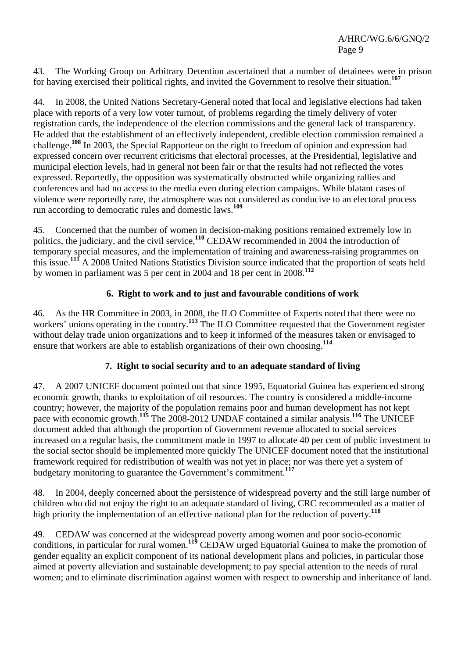43. The Working Group on Arbitrary Detention ascertained that a number of detainees were in prison for having exercised their political rights, and invited the Government to resolve their situation.**<sup>107</sup>**

44. In 2008, the United Nations Secretary-General noted that local and legislative elections had taken place with reports of a very low voter turnout, of problems regarding the timely delivery of voter registration cards, the independence of the election commissions and the general lack of transparency. He added that the establishment of an effectively independent, credible election commission remained a challenge.**<sup>108</sup>** In 2003, the Special Rapporteur on the right to freedom of opinion and expression had expressed concern over recurrent criticisms that electoral processes, at the Presidential, legislative and municipal election levels, had in general not been fair or that the results had not reflected the votes expressed. Reportedly, the opposition was systematically obstructed while organizing rallies and conferences and had no access to the media even during election campaigns. While blatant cases of violence were reportedly rare, the atmosphere was not considered as conducive to an electoral process run according to democratic rules and domestic laws.**<sup>109</sup>**

45. Concerned that the number of women in decision-making positions remained extremely low in politics, the judiciary, and the civil service,**<sup>110</sup>** CEDAW recommended in 2004 the introduction of temporary special measures, and the implementation of training and awareness-raising programmes on this issue.**<sup>111</sup>** A 2008 United Nations Statistics Division source indicated that the proportion of seats held by women in parliament was 5 per cent in 2004 and 18 per cent in 2008.**<sup>112</sup>**

# **6. Right to work and to just and favourable conditions of work**

46. As the HR Committee in 2003, in 2008, the ILO Committee of Experts noted that there were no workers' unions operating in the country.**<sup>113</sup>** The ILO Committee requested that the Government register without delay trade union organizations and to keep it informed of the measures taken or envisaged to ensure that workers are able to establish organizations of their own choosing.**<sup>114</sup>**

# **7. Right to social security and to an adequate standard of living**

47. A 2007 UNICEF document pointed out that since 1995, Equatorial Guinea has experienced strong economic growth, thanks to exploitation of oil resources. The country is considered a middle-income country; however, the majority of the population remains poor and human development has not kept pace with economic growth.**<sup>115</sup>** The 2008-2012 UNDAF contained a similar analysis.**<sup>116</sup>** The UNICEF document added that although the proportion of Government revenue allocated to social services increased on a regular basis, the commitment made in 1997 to allocate 40 per cent of public investment to the social sector should be implemented more quickly The UNICEF document noted that the institutional framework required for redistribution of wealth was not yet in place; nor was there yet a system of budgetary monitoring to guarantee the Government's commitment.**<sup>117</sup>**

48. In 2004, deeply concerned about the persistence of widespread poverty and the still large number of children who did not enjoy the right to an adequate standard of living, CRC recommended as a matter of high priority the implementation of an effective national plan for the reduction of poverty.**<sup>118</sup>**

49. CEDAW was concerned at the widespread poverty among women and poor socio-economic conditions, in particular for rural women.**<sup>119</sup>** CEDAW urged Equatorial Guinea to make the promotion of gender equality an explicit component of its national development plans and policies, in particular those aimed at poverty alleviation and sustainable development; to pay special attention to the needs of rural women; and to eliminate discrimination against women with respect to ownership and inheritance of land.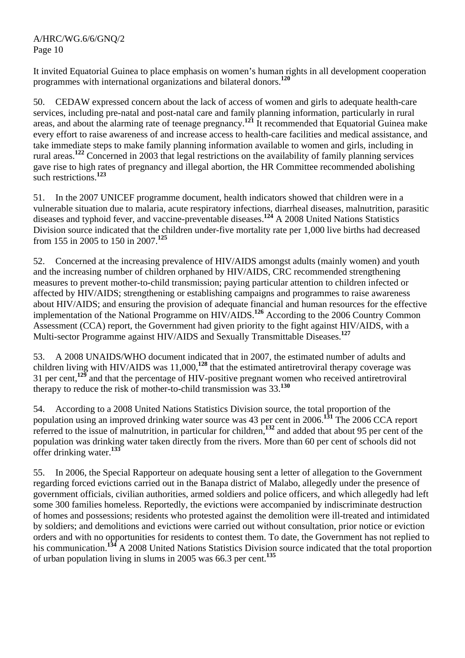It invited Equatorial Guinea to place emphasis on women's human rights in all development cooperation programmes with international organizations and bilateral donors.**<sup>120</sup>**

50. CEDAW expressed concern about the lack of access of women and girls to adequate health-care services, including pre-natal and post-natal care and family planning information, particularly in rural areas, and about the alarming rate of teenage pregnancy.**<sup>121</sup>** It recommended that Equatorial Guinea make every effort to raise awareness of and increase access to health-care facilities and medical assistance, and take immediate steps to make family planning information available to women and girls, including in rural areas.**<sup>122</sup>** Concerned in 2003 that legal restrictions on the availability of family planning services gave rise to high rates of pregnancy and illegal abortion, the HR Committee recommended abolishing such restrictions.**<sup>123</sup>**

51. In the 2007 UNICEF programme document, health indicators showed that children were in a vulnerable situation due to malaria, acute respiratory infections, diarrheal diseases, malnutrition, parasitic diseases and typhoid fever, and vaccine-preventable diseases.**<sup>124</sup>** A 2008 United Nations Statistics Division source indicated that the children under-five mortality rate per 1,000 live births had decreased from 155 in 2005 to 150 in 2007.**<sup>125</sup>**

52. Concerned at the increasing prevalence of HIV/AIDS amongst adults (mainly women) and youth and the increasing number of children orphaned by HIV/AIDS, CRC recommended strengthening measures to prevent mother-to-child transmission; paying particular attention to children infected or affected by HIV/AIDS; strengthening or establishing campaigns and programmes to raise awareness about HIV/AIDS; and ensuring the provision of adequate financial and human resources for the effective implementation of the National Programme on HIV/AIDS.**<sup>126</sup>** According to the 2006 Country Common Assessment (CCA) report, the Government had given priority to the fight against HIV/AIDS, with a Multi-sector Programme against HIV/AIDS and Sexually Transmittable Diseases.**<sup>127</sup>**

53. A 2008 UNAIDS/WHO document indicated that in 2007, the estimated number of adults and children living with HIV/AIDS was 11,000,<sup>128</sup> that the estimated antiretroviral therapy coverage was 31 per cent,**<sup>129</sup>** and that the percentage of HIV-positive pregnant women who received antiretroviral therapy to reduce the risk of mother-to-child transmission was 33.**<sup>130</sup>**

54. According to a 2008 United Nations Statistics Division source, the total proportion of the population using an improved drinking water source was 43 per cent in 2006.**<sup>131</sup>** The 2006 CCA report referred to the issue of malnutrition, in particular for children,**<sup>132</sup>** and added that about 95 per cent of the population was drinking water taken directly from the rivers. More than 60 per cent of schools did not offer drinking water.**<sup>133</sup>**

55. In 2006, the Special Rapporteur on adequate housing sent a letter of allegation to the Government regarding forced evictions carried out in the Banapa district of Malabo, allegedly under the presence of government officials, civilian authorities, armed soldiers and police officers, and which allegedly had left some 300 families homeless. Reportedly, the evictions were accompanied by indiscriminate destruction of homes and possessions; residents who protested against the demolition were ill-treated and intimidated by soldiers; and demolitions and evictions were carried out without consultation, prior notice or eviction orders and with no opportunities for residents to contest them. To date, the Government has not replied to his communication.**<sup>134</sup>** A 2008 United Nations Statistics Division source indicated that the total proportion of urban population living in slums in 2005 was 66.3 per cent.**<sup>135</sup>**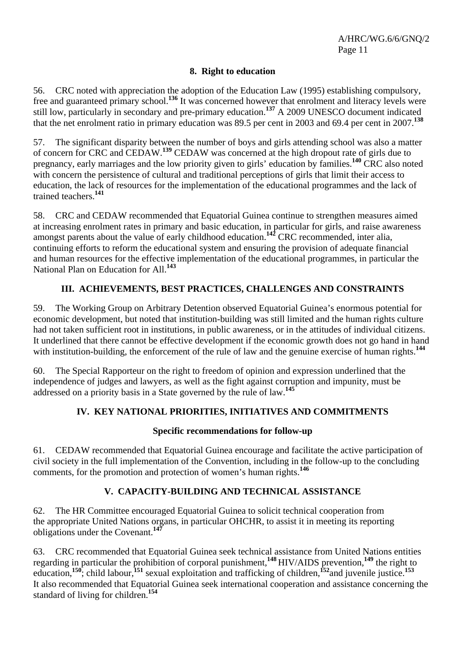#### **8. Right to education**

56. CRC noted with appreciation the adoption of the Education Law (1995) establishing compulsory, free and guaranteed primary school.**<sup>136</sup>** It was concerned however that enrolment and literacy levels were still low, particularly in secondary and pre-primary education.**<sup>137</sup>** A 2009 UNESCO document indicated that the net enrolment ratio in primary education was 89.5 per cent in 2003 and 69.4 per cent in 2007.**<sup>138</sup>**

57. The significant disparity between the number of boys and girls attending school was also a matter of concern for CRC and CEDAW.**<sup>139</sup>** CEDAW was concerned at the high dropout rate of girls due to pregnancy, early marriages and the low priority given to girls' education by families.**<sup>140</sup>** CRC also noted with concern the persistence of cultural and traditional perceptions of girls that limit their access to education, the lack of resources for the implementation of the educational programmes and the lack of trained teachers.**<sup>141</sup>**

58. CRC and CEDAW recommended that Equatorial Guinea continue to strengthen measures aimed at increasing enrolment rates in primary and basic education, in particular for girls, and raise awareness amongst parents about the value of early childhood education.**<sup>142</sup>** CRC recommended, inter alia, continuing efforts to reform the educational system and ensuring the provision of adequate financial and human resources for the effective implementation of the educational programmes, in particular the National Plan on Education for All.**<sup>143</sup>**

# **III. ACHIEVEMENTS, BEST PRACTICES, CHALLENGES AND CONSTRAINTS**

59. The Working Group on Arbitrary Detention observed Equatorial Guinea's enormous potential for economic development, but noted that institution-building was still limited and the human rights culture had not taken sufficient root in institutions, in public awareness, or in the attitudes of individual citizens. It underlined that there cannot be effective development if the economic growth does not go hand in hand with institution-building, the enforcement of the rule of law and the genuine exercise of human rights.<sup>144</sup>

60. The Special Rapporteur on the right to freedom of opinion and expression underlined that the independence of judges and lawyers, as well as the fight against corruption and impunity, must be addressed on a priority basis in a State governed by the rule of law.**<sup>145</sup>**

#### **IV. KEY NATIONAL PRIORITIES, INITIATIVES AND COMMITMENTS**

#### **Specific recommendations for follow-up**

61. CEDAW recommended that Equatorial Guinea encourage and facilitate the active participation of civil society in the full implementation of the Convention, including in the follow-up to the concluding comments, for the promotion and protection of women's human rights.**<sup>146</sup>**

# **V. CAPACITY-BUILDING AND TECHNICAL ASSISTANCE**

62. The HR Committee encouraged Equatorial Guinea to solicit technical cooperation from the appropriate United Nations organs, in particular OHCHR, to assist it in meeting its reporting obligations under the Covenant.**<sup>147</sup>**

63. CRC recommended that Equatorial Guinea seek technical assistance from United Nations entities regarding in particular the prohibition of corporal punishment,**<sup>148</sup>** HIV/AIDS prevention,**<sup>149</sup>** the right to education,**<sup>150</sup>**; child labour,**<sup>151</sup>** sexual exploitation and trafficking of children,**<sup>152</sup>**and juvenile justice.**<sup>153</sup>** It also recommended that Equatorial Guinea seek international cooperation and assistance concerning the standard of living for children.**<sup>154</sup>**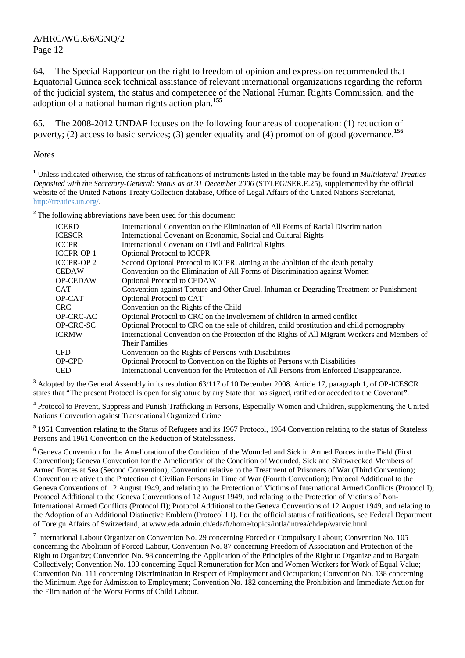64. The Special Rapporteur on the right to freedom of opinion and expression recommended that Equatorial Guinea seek technical assistance of relevant international organizations regarding the reform of the judicial system, the status and competence of the National Human Rights Commission, and the adoption of a national human rights action plan.**<sup>155</sup>**

65. The 2008-2012 UNDAF focuses on the following four areas of cooperation: (1) reduction of poverty; (2) access to basic services; (3) gender equality and (4) promotion of good governance.**<sup>156</sup>**

#### *Notes*

**1** Unless indicated otherwise, the status of ratifications of instruments listed in the table may be found in *Multilateral Treaties Deposited with the Secretary-General: Status as at 31 December 2006* (ST/LEG/SER.E.25), supplemented by the official website of the United Nations Treaty Collection database, Office of Legal Affairs of the United Nations Secretariat, http://treaties.un.org/.

<sup>2</sup> The following abbreviations have been used for this document:

| <b>ICERD</b><br><b>ICESCR</b> | International Convention on the Elimination of All Forms of Racial Discrimination<br>International Covenant on Economic, Social and Cultural Rights |
|-------------------------------|-----------------------------------------------------------------------------------------------------------------------------------------------------|
| <b>ICCPR</b>                  | International Covenant on Civil and Political Rights                                                                                                |
| <b>ICCPR-OP1</b>              | <b>Optional Protocol to ICCPR</b>                                                                                                                   |
| <b>ICCPR-OP2</b>              | Second Optional Protocol to ICCPR, aiming at the abolition of the death penalty                                                                     |
| <b>CEDAW</b>                  | Convention on the Elimination of All Forms of Discrimination against Women                                                                          |
| <b>OP-CEDAW</b>               | Optional Protocol to CEDAW                                                                                                                          |
| <b>CAT</b>                    | Convention against Torture and Other Cruel, Inhuman or Degrading Treatment or Punishment                                                            |
| OP-CAT                        | Optional Protocol to CAT                                                                                                                            |
| CRC.                          | Convention on the Rights of the Child                                                                                                               |
| <b>OP-CRC-AC</b>              | Optional Protocol to CRC on the involvement of children in armed conflict                                                                           |
| OP-CRC-SC                     | Optional Protocol to CRC on the sale of children, child prostitution and child pornography                                                          |
| <b>ICRMW</b>                  | International Convention on the Protection of the Rights of All Migrant Workers and Members of<br><b>Their Families</b>                             |
| <b>CPD</b>                    | Convention on the Rights of Persons with Disabilities                                                                                               |
| OP-CPD                        | Optional Protocol to Convention on the Rights of Persons with Disabilities                                                                          |
| <b>CED</b>                    | International Convention for the Protection of All Persons from Enforced Disappearance.                                                             |

<sup>3</sup> Adopted by the General Assembly in its resolution 63/117 of 10 December 2008. Article 17, paragraph 1, of OP-ICESCR states that "The present Protocol is open for signature by any State that has signed, ratified or acceded to the Covenant**"**.

<sup>4</sup> Protocol to Prevent, Suppress and Punish Trafficking in Persons, Especially Women and Children, supplementing the United Nations Convention against Transnational Organized Crime.

<sup>5</sup> 1951 Convention relating to the Status of Refugees and its 1967 Protocol, 1954 Convention relating to the status of Stateless Persons and 1961 Convention on the Reduction of Statelessness.

<sup>6</sup> Geneva Convention for the Amelioration of the Condition of the Wounded and Sick in Armed Forces in the Field (First Convention); Geneva Convention for the Amelioration of the Condition of Wounded, Sick and Shipwrecked Members of Armed Forces at Sea (Second Convention); Convention relative to the Treatment of Prisoners of War (Third Convention); Convention relative to the Protection of Civilian Persons in Time of War (Fourth Convention); Protocol Additional to the Geneva Conventions of 12 August 1949, and relating to the Protection of Victims of International Armed Conflicts (Protocol I); Protocol Additional to the Geneva Conventions of 12 August 1949, and relating to the Protection of Victims of Non-International Armed Conflicts (Protocol II); Protocol Additional to the Geneva Conventions of 12 August 1949, and relating to the Adoption of an Additional Distinctive Emblem (Protocol III). For the official status of ratifications, see Federal Department of Foreign Affairs of Switzerland, at www.eda.admin.ch/eda/fr/home/topics/intla/intrea/chdep/warvic.html.

<sup>7</sup> International Labour Organization Convention No. 29 concerning Forced or Compulsory Labour; Convention No. 105 concerning the Abolition of Forced Labour, Convention No. 87 concerning Freedom of Association and Protection of the Right to Organize; Convention No. 98 concerning the Application of the Principles of the Right to Organize and to Bargain Collectively; Convention No. 100 concerning Equal Remuneration for Men and Women Workers for Work of Equal Value; Convention No. 111 concerning Discrimination in Respect of Employment and Occupation; Convention No. 138 concerning the Minimum Age for Admission to Employment; Convention No. 182 concerning the Prohibition and Immediate Action for the Elimination of the Worst Forms of Child Labour.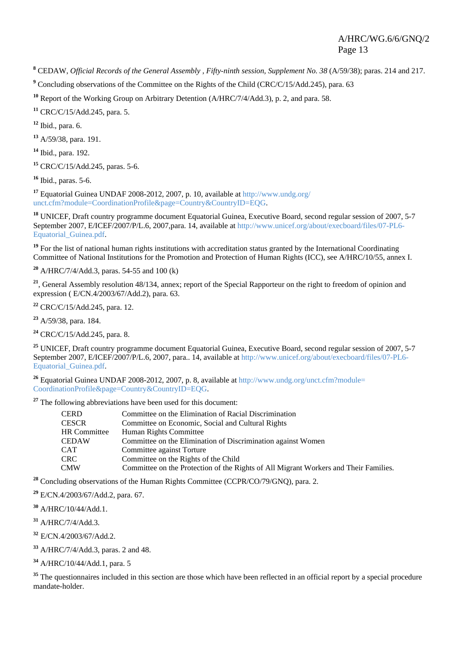**8** CEDAW, *Official Records of the General Assembly , Fifty-ninth session, Supplement No. 38* (A/59/38); paras. 214 and 217.

<sup>9</sup> Concluding observations of the Committee on the Rights of the Child (CRC/C/15/Add.245), para. 63

**<sup>10</sup>** Report of the Working Group on Arbitrary Detention (A/HRC/7/4/Add.3), p. 2, and para. 58.

**<sup>11</sup>** CRC/C/15/Add.245, para. 5.

**<sup>12</sup>** Ibid., para. 6.

**<sup>13</sup>** A/59/38, para. 191.

**<sup>14</sup>** Ibid., para. 192.

**<sup>15</sup>** CRC/C/15/Add.245, paras. 5-6.

**<sup>16</sup>** Ibid., paras. 5-6.

**<sup>17</sup>** Equatorial Guinea UNDAF 2008-2012, 2007, p. 10, available at http://www.undg.org/ unct.cfm?module=CoordinationProfile&page=Country&CountryID=EQG.

<sup>18</sup> UNICEF, Draft country programme document Equatorial Guinea, Executive Board, second regular session of 2007, 5-7 September 2007, E/ICEF/2007/P/L.6, 2007,para. 14, available at http://www.unicef.org/about/execboard/files/07-PL6- Equatorial\_Guinea.pdf.

<sup>19</sup> For the list of national human rights institutions with accreditation status granted by the International Coordinating Committee of National Institutions for the Promotion and Protection of Human Rights (ICC), see A/HRC/10/55, annex I.

**<sup>20</sup>** A/HRC/7/4/Add.3, paras. 54-55 and 100 (k)

<sup>21</sup>, General Assembly resolution 48/134, annex; report of the Special Rapporteur on the right to freedom of opinion and expression ( E/CN.4/2003/67/Add.2), para. 63.

**<sup>22</sup>** CRC/C/15/Add.245, para. 12.

**<sup>23</sup>** A/59/38, para. 184.

**<sup>24</sup>** CRC/C/15/Add.245, para. 8.

<sup>25</sup> UNICEF, Draft country programme document Equatorial Guinea, Executive Board, second regular session of 2007, 5-7 September 2007, E/ICEF/2007/P/L.6, 2007, para.. 14, available at http://www.unicef.org/about/execboard/files/07-PL6-Equatorial\_Guinea.pdf.

<sup>26</sup> Equatorial Guinea UNDAF 2008-2012, 2007, p. 8, available at http://www.undg.org/unct.cfm?module= CoordinationProfile&page=Country&CountryID=EQG.

**<sup>27</sup>** The following abbreviations have been used for this document:

| <b>CERD</b>         | Committee on the Elimination of Racial Discrimination                                |
|---------------------|--------------------------------------------------------------------------------------|
| <b>CESCR</b>        | Committee on Economic, Social and Cultural Rights                                    |
| <b>HR</b> Committee | Human Rights Committee                                                               |
| <b>CEDAW</b>        | Committee on the Elimination of Discrimination against Women                         |
| <b>CAT</b>          | Committee against Torture                                                            |
| <b>CRC</b>          | Committee on the Rights of the Child                                                 |
| <b>CMW</b>          | Committee on the Protection of the Rights of All Migrant Workers and Their Families. |

<sup>28</sup> Concluding observations of the Human Rights Committee (CCPR/CO/79/GNO), para. 2.

**<sup>29</sup>** E/CN.4/2003/67/Add.2, para. 67.

**<sup>30</sup>** A/HRC/10/44/Add.1.

**<sup>31</sup>** A/HRC/7/4/Add.3.

**<sup>32</sup>** E/CN.4/2003/67/Add.2.

**<sup>33</sup>** A/HRC/7/4/Add.3, paras. 2 and 48.

**<sup>34</sup>** A/HRC/10/44/Add.1, para. 5

<sup>35</sup> The questionnaires included in this section are those which have been reflected in an official report by a special procedure mandate-holder.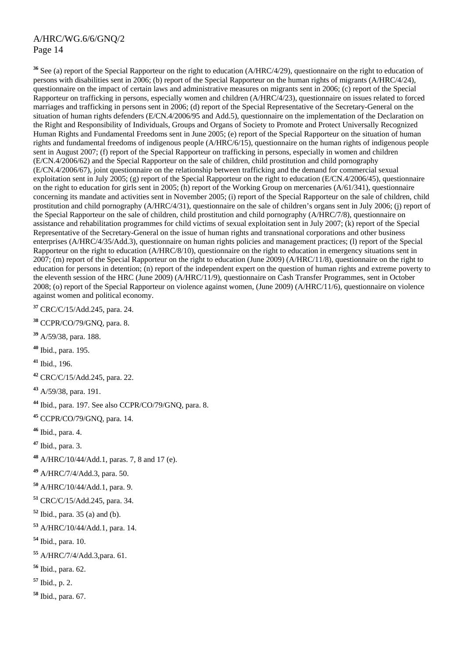**<sup>36</sup>** See (a) report of the Special Rapporteur on the right to education (A/HRC/4/29), questionnaire on the right to education of persons with disabilities sent in 2006; (b) report of the Special Rapporteur on the human rights of migrants (A/HRC/4/24), questionnaire on the impact of certain laws and administrative measures on migrants sent in 2006; (c) report of the Special Rapporteur on trafficking in persons, especially women and children (A/HRC/4/23), questionnaire on issues related to forced marriages and trafficking in persons sent in 2006; (d) report of the Special Representative of the Secretary-General on the situation of human rights defenders (E/CN.4/2006/95 and Add.5), questionnaire on the implementation of the Declaration on the Right and Responsibility of Individuals, Groups and Organs of Society to Promote and Protect Universally Recognized Human Rights and Fundamental Freedoms sent in June 2005; (e) report of the Special Rapporteur on the situation of human rights and fundamental freedoms of indigenous people (A/HRC/6/15), questionnaire on the human rights of indigenous people sent in August 2007; (f) report of the Special Rapporteur on trafficking in persons, especially in women and children (E/CN.4/2006/62) and the Special Rapporteur on the sale of children, child prostitution and child pornography (E/CN.4/2006/67), joint questionnaire on the relationship between trafficking and the demand for commercial sexual exploitation sent in July 2005; (g) report of the Special Rapporteur on the right to education (E/CN.4/2006/45), questionnaire on the right to education for girls sent in 2005; (h) report of the Working Group on mercenaries (A/61/341), questionnaire concerning its mandate and activities sent in November 2005; (i) report of the Special Rapporteur on the sale of children, child prostitution and child pornography (A/HRC/4/31), questionnaire on the sale of children's organs sent in July 2006; (j) report of the Special Rapporteur on the sale of children, child prostitution and child pornography (A/HRC/7/8), questionnaire on assistance and rehabilitation programmes for child victims of sexual exploitation sent in July 2007; (k) report of the Special Representative of the Secretary-General on the issue of human rights and transnational corporations and other business enterprises (A/HRC/4/35/Add.3), questionnaire on human rights policies and management practices; (l) report of the Special Rapporteur on the right to education (A/HRC/8/10), questionnaire on the right to education in emergency situations sent in 2007; (m) report of the Special Rapporteur on the right to education (June 2009) (A/HRC/11/8), questionnaire on the right to education for persons in detention; (n) report of the independent expert on the question of human rights and extreme poverty to the eleventh session of the HRC (June 2009) (A/HRC/11/9), questionnaire on Cash Transfer Programmes, sent in October 2008; (o) report of the Special Rapporteur on violence against women, (June 2009) (A/HRC/11/6), questionnaire on violence against women and political economy.

**<sup>37</sup>** CRC/C/15/Add.245, para. 24.

- **<sup>38</sup>** CCPR/CO/79/GNQ, para. 8.
- **<sup>39</sup>** A/59/38, para. 188.
- **<sup>40</sup>** Ibid., para. 195.
- **<sup>41</sup>** Ibid., 196.
- **<sup>42</sup>** CRC/C/15/Add.245, para. 22.
- **<sup>43</sup>** A/59/38, para. 191.

**<sup>44</sup>** Ibid., para. 197. See also CCPR/CO/79/GNQ, para. 8.

**<sup>45</sup>** CCPR/CO/79/GNQ, para. 14.

**<sup>46</sup>** Ibid., para. 4.

**<sup>47</sup>** Ibid., para. 3.

**<sup>48</sup>** A/HRC/10/44/Add.1, paras. 7, 8 and 17 (e).

**<sup>49</sup>** A/HRC/7/4/Add.3, para. 50.

**<sup>50</sup>** A/HRC/10/44/Add.1, para. 9.

**<sup>51</sup>** CRC/C/15/Add.245, para. 34.

**<sup>52</sup>** Ibid., para. 35 (a) and (b).

**<sup>53</sup>** A/HRC/10/44/Add.1, para. 14.

- **<sup>54</sup>** Ibid., para. 10.
- **<sup>55</sup>** A/HRC/7/4/Add.3,para. 61.

**<sup>56</sup>** Ibid., para. 62.

**<sup>57</sup>** Ibid., p. 2.

**<sup>58</sup>** Ibid., para. 67.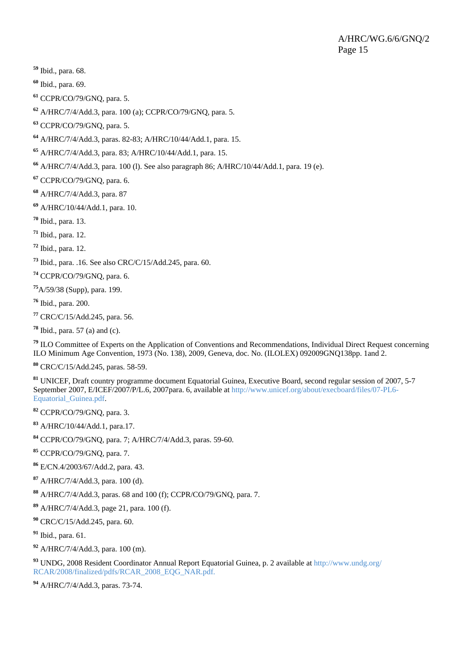- Ibid., para. 68.
- Ibid., para. 69.
- CCPR/CO/79/GNQ, para. 5.
- A/HRC/7/4/Add.3, para. 100 (a); CCPR/CO/79/GNQ, para. 5.
- CCPR/CO/79/GNQ, para. 5.
- A/HRC/7/4/Add.3, paras. 82-83; A/HRC/10/44/Add.1, para. 15.
- A/HRC/7/4/Add.3, para. 83; A/HRC/10/44/Add.1, para. 15.
- A/HRC/7/4/Add.3, para. 100 (l). See also paragraph 86; A/HRC/10/44/Add.1, para. 19 (e).
- CCPR/CO/79/GNQ, para. 6.
- A/HRC/7/4/Add.3, para. 87
- A/HRC/10/44/Add.1, para. 10.
- Ibid., para. 13.
- Ibid., para. 12.
- Ibid., para. 12.
- Ibid., para. .16. See also CRC/C/15/Add.245, para. 60.
- CCPR/CO/79/GNQ, para. 6.
- A/59/38 (Supp), para. 199.
- Ibid., para. 200.
- CRC/C/15/Add.245, para. 56.
- Ibid., para. 57 (a) and (c).

 ILO Committee of Experts on the Application of Conventions and Recommendations, Individual Direct Request concerning ILO Minimum Age Convention, 1973 (No. 138), 2009, Geneva, doc. No. (ILOLEX) 092009GNQ138pp. 1and 2.

CRC/C/15/Add.245, paras. 58-59.

 UNICEF, Draft country programme document Equatorial Guinea, Executive Board, second regular session of 2007, 5-7 September 2007, E/ICEF/2007/P/L.6, 2007para. 6, available at http://www.unicef.org/about/execboard/files/07-PL6- Equatorial\_Guinea.pdf.

CCPR/CO/79/GNQ, para. 3.

- A/HRC/10/44/Add.1, para.17.
- CCPR/CO/79/GNQ, para. 7; A/HRC/7/4/Add.3, paras. 59-60.
- CCPR/CO/79/GNQ, para. 7.
- E/CN.4/2003/67/Add.2, para. 43.
- A/HRC/7/4/Add.3, para. 100 (d).
- A/HRC/7/4/Add.3, paras. 68 and 100 (f); CCPR/CO/79/GNQ, para. 7.
- A/HRC/7/4/Add.3, page 21, para. 100 (f).
- CRC/C/15/Add.245, para. 60.
- Ibid., para. 61.
- A/HRC/7/4/Add.3, para. 100 (m).
- UNDG, 2008 Resident Coordinator Annual Report Equatorial Guinea, p. 2 available at http://www.undg.org/ RCAR/2008/finalized/pdfs/RCAR\_2008\_EOG\_NAR.pdf.
- A/HRC/7/4/Add.3, paras. 73-74.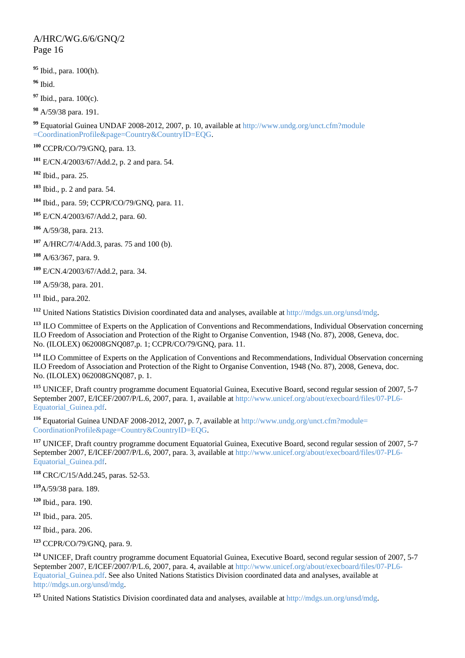Ibid., para. 100(h).

Ibid.

Ibid., para. 100(c).

A/59/38 para. 191.

 Equatorial Guinea UNDAF 2008-2012, 2007, p. 10, available at http://www.undg.org/unct.cfm?module =CoordinationProfile&page=Country&CountryID=EQG.

CCPR/CO/79/GNQ, para. 13.

E/CN.4/2003/67/Add.2, p. 2 and para. 54.

Ibid., para. 25.

Ibid., p. 2 and para. 54.

Ibid., para. 59; CCPR/CO/79/GNQ, para. 11.

E/CN.4/2003/67/Add.2, para. 60.

A/59/38, para. 213.

A/HRC/7/4/Add.3, paras. 75 and 100 (b).

A/63/367, para. 9.

E/CN.4/2003/67/Add.2, para. 34.

A/59/38, para. 201.

Ibid., para.202.

United Nations Statistics Division coordinated data and analyses, available at http://mdgs.un.org/unsd/mdg.

 ILO Committee of Experts on the Application of Conventions and Recommendations, Individual Observation concerning ILO Freedom of Association and Protection of the Right to Organise Convention, 1948 (No. 87), 2008, Geneva, doc. No. (ILOLEX) 062008GNQ087,p. 1; CCPR/CO/79/GNQ, para. 11.

 ILO Committee of Experts on the Application of Conventions and Recommendations, Individual Observation concerning ILO Freedom of Association and Protection of the Right to Organise Convention, 1948 (No. 87), 2008, Geneva, doc. No. (ILOLEX) 062008GNQ087, p. 1.

 UNICEF, Draft country programme document Equatorial Guinea, Executive Board, second regular session of 2007, 5-7 September 2007, E/ICEF/2007/P/L.6, 2007, para. 1, available at http://www.unicef.org/about/execboard/files/07-PL6-Equatorial\_Guinea.pdf.

 Equatorial Guinea UNDAF 2008-2012, 2007, p. 7, available at http://www.undg.org/unct.cfm?module= CoordinationProfile&page=Country&CountryID=EQG.

<sup>117</sup> UNICEF, Draft country programme document Equatorial Guinea, Executive Board, second regular session of 2007, 5-7 September 2007, E/ICEF/2007/P/L.6, 2007, para. 3, available at http://www.unicef.org/about/execboard/files/07-PL6- Equatorial\_Guinea.pdf.

CRC/C/15/Add.245, paras. 52-53.

A/59/38 para. 189.

Ibid., para. 190.

Ibid., para. 205.

Ibid., para. 206.

CCPR/CO/79/GNQ, para. 9.

 UNICEF, Draft country programme document Equatorial Guinea, Executive Board, second regular session of 2007, 5-7 September 2007, E/ICEF/2007/P/L.6, 2007, para. 4, available at http://www.unicef.org/about/execboard/files/07-PL6- Equatorial\_Guinea.pdf. See also United Nations Statistics Division coordinated data and analyses, available at http://mdgs.un.org/unsd/mdg.

United Nations Statistics Division coordinated data and analyses, available at http://mdgs.un.org/unsd/mdg.